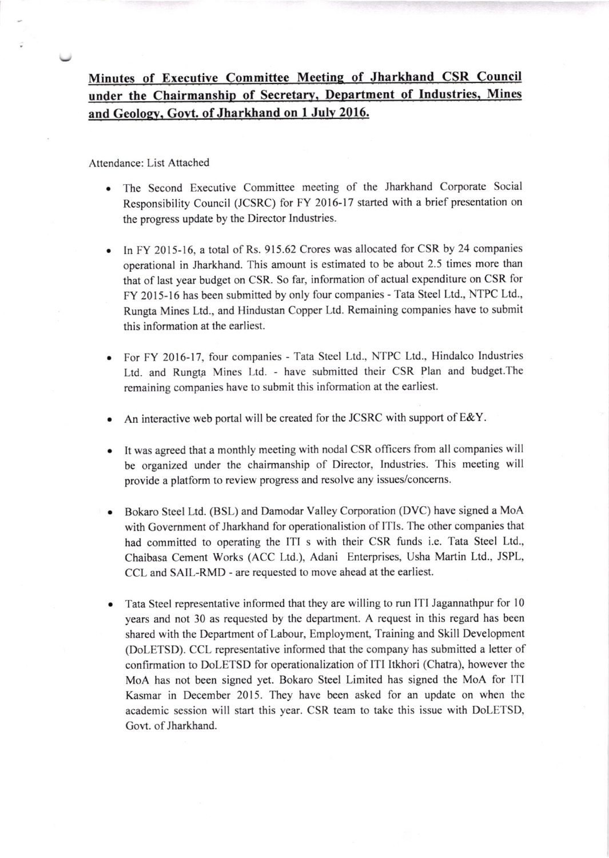Attendance: List Attached

- The Second Executive Committee meeting of the Jharkhand Corporate Social Responsibility Council (JCSRC) for FY 2016-17 started with a brief presentation on the progress update by the Director Industries.
- In FY 2015-16, a total of Rs. 915.62 Crores was allocated for CSR by 24 companies operational in Jharkhand. This amount is estimated to be about 2.5 times more than that of last year budget on CSR. So far, information of actual expenditure on CSR for FY 2015-16 has been submitted by only four companies - Tata Steel Ltd., NTPC Ltd., Rungta Mines Ltd., and Hindustan Copper Ltd. Remaining companies have to submit this information at the earliest.
- For FY 2016-17, four companies Tata Steel Ltd., NTPC Ltd., Hindalco Industries Ltd. and Rungta Mines Ltd. - have submitted their CSR Plan and budget. The remaining companies have to submit this information at the earliest.
- An interactive web portal will be created for the JCSRC with support of E&Y.
- It was agreed that a monthly meeting with nodal CSR officers from all companies will be organized under the chairmanship of Director, Industries. This meeting will provide a platform to review progress and resolve any issues/concerns.
- Bokaro Steel Ltd. (BSL) and Damodar Valley Corporation (DVC) have signed a MoA with Govemment of Jharkhand for operationalistion of ITIs. The other companies that had committed to operating the ITI s with their CSR funds i.e. Tata Steel Ltd., Chaibasa Cement Works (ACC Ltd.), Adani Enterprises, Usha Martin Ltd., JSPL, CCL and SAIL-RMD - are requested to move ahead at the earliest.
- Tata Steel representative informed that they are willing to run ITI Jagannathpur for l0 years and not 30 as requested by the department. A request in this regard has been shared with the Department of Labour, Employment, Training and Skill Development (DoLETSD). CCL representative informed that the company has submitted a letter of confirmation to DoLETSD for operationalization of ITI ltkhori (Chatra), however the MoA has not been signed yet. Bokaro Steel Limited has signed the MoA for ITI Kasmar in December 2015. They have been asked for an update on when the academic session will start this year. CSR team to take this issue with DoLETSD, Govt. of Jharkhand.